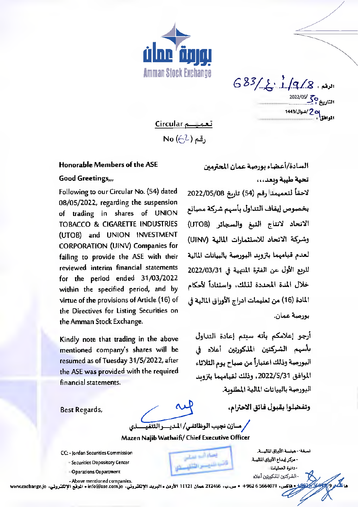

 $683/\xi$ 1/9/8 2022/05/ 30<br>التاريخ المجموع <mark>2 /شوال/1443</mark>

تعمیـــم Circular No  $(\ominus \lambda)$  , فم

## Honorable Members of the ASE

## Good Greetings,,,

Following to our Circular No. (54) dated 08/05/2022, regarding the suspension of trading in shares of UNION TOBACCO & CIGARETTE INDUSTRIES (UTOB) and UNION INVESTMENT CORPORATION (UINV) Companies for failing to provide the ASE with their reviewed interim financial statements for the period ended 31/03/2022 within the specified period, and by virtue of the provisions of Article (16) of the Directives for Listing Securities on the Amman Stock Exchange.

Kindly note that trading in the above mentioned company's shares will be resumed as of Tuesday 31/5/2022, after the ASE was provided with the required financial statements.

السادة/أعضاء بورصة عمان المحترمين تحية طيبة وبعد...

لاحقاً لتعميمنا رقم (54) تاريخ 2022/05/08 بخصوص إيقاف التداول بأسهم شركة مصانع الاتحاد لانتاج التبغ والسجائر (UTOB) وشركة الاتحاد للاستثمارات المالية (UINV) لعدم قيامهما بتزويد البورصة بالبيانات المالية للربع الأول عن الفترة المنتهية في 2022/03/31 خلال المدة المحددة لذلك، واستناداً لأحكام المادة (16) من تعليمات ادراج الأوراق المالية في ٻورصة عمان.

أرجو إعلامكم بأنه سيتم إعادة التداول بأسهم الشركتين المذكورتين أعلاه في البورصة وذلك اعتباراً من صباح يوم الثلاثاء الموافق 2022/S/31، وذلك لقيامهما بتزويد البورصة بالبيانات المالية المطلوبة.

Best Regards,

وتفضلوا بقبول فائق الاحترام،

Mazen Najib Wathaifi/ Chief Executive Officer

كر مسازن نجيب الوظائفي/ المديسو التنفيسسذي

معناه النه معتلى

فأشبه فلنجسس التلقي

- CC: Jordan Securities Commission
	- Securities Depository Center
	- -Operations Oepartment

- Above mentioned companies.

ر 5564071 + 962 + 962 + ص.ب، 212466 عمان 11121 الأردن • البريد الالكتروني، 116@sinfo@ase.com. الوقع الالكتروني، www.exchange.jo

نسخة - هيئسة الأوراق الماليسة. - مركز إيداع الأوراق المالية. - دائرة العمليات - الشركتين المنكورتين أعلاه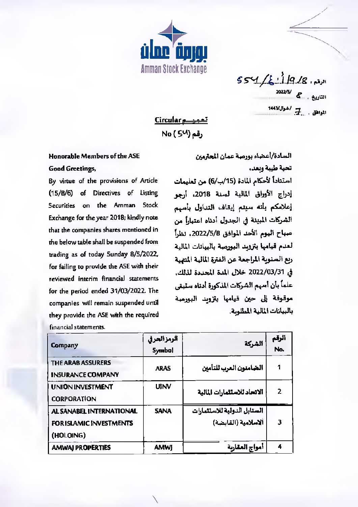

الرقم، 8/ 19/ في كم / 55 كا التاريخ ، <mark>ك</mark>ا<sup>2022/5</sup> المواطق . في اشوال/1443

<u>Circular المسموعي</u> No ( 54) رقم

## Honorable Members of the ASE

## **Good Greetings,**

By virtue of the provisions of Article  $(15/B/6)$ of Directives of Listing Securities on the Amman **Stock** Exchange for the year 2018; kindly note that the companies shares mentioned in the below table shall be suspended from trading as of today 5unday 8/5/2022, for failing to provide the ASE with their reviewed interim financial statements for the period ended 31/03/2022. The companies will remain suspended until they provide the ASE with the required financial statements.

السادة/أعضاء بورصة عمان المحترمين تحية طيبة ويعد، استناداً لأحكام المادة (15/ب/6) من تعليمات إدراج الأوراق المالية لمسنة 2018، أرجو إعلامكم بأنه سيتم إيقاف التداول بأسهم الشركات المينة في الجدول أدناه اعتباراً من صباح اليوم الأحد الموافق 2022/5/8. نظراً أحدم قيامها بتزويد البورصة بالبيانات المالية ربع السنوبة المراجعة عن الفترة المالية المتهية في 2022/03/31 خلال المدة المحددة لذلك. علماً بأن أسهم الشركات المذكورة أدناه ستبقى موقوفة إلى حين قيامها بتزويد البورصة بالبيانات المالية المطلوبة.

| Company                        | الرمزالعرفي<br>Symbol | الشركة                       | الرقم<br>No. |
|--------------------------------|-----------------------|------------------------------|--------------|
| <b>THE ARAB ASSURERS</b>       | <b>ARAS</b>           | الضامنون العرب للتأمين       | 1            |
| <b>INSURANCE COMPANY</b>       |                       |                              |              |
| <b>UNION INVESTMENT</b>        | <b>UINV</b>           | الاتحاد للاستثمارات المالية  | 2            |
| <b>CORPORATION</b>             |                       |                              |              |
| AL SANABEL INTERNATIONAL       | <b>SANA</b>           | المسنابل الدولية للاستثمارات |              |
| <b>FOR ISLAMIC INVESTMENTS</b> |                       | ألاسلامية (القابضة)          | 3            |
| (HOLOING)                      |                       |                              |              |
| <b>AMWAI PROPERTIES</b>        | <b>AMWJ</b>           | أمواج العقاربة               | 4            |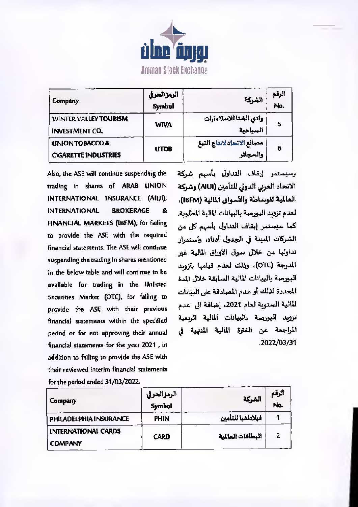

| <b>Company</b>                                           | الرمز الحرفي<br>.<br>Symbol | الشركة                                 | الرقم<br>No. |
|----------------------------------------------------------|-----------------------------|----------------------------------------|--------------|
| <b>WINTER VALLEY TOURISM</b><br><b>INVESTMENT CO.</b>    | <b>WIVA</b>                 | وادى الشتا للاستثمارات<br>السياحية     | 5            |
| <b>UNION TOBACCO&amp;</b><br><b>CIGARETTE INDUSTRIES</b> | UTOB                        | مصانع الاتحاد لانتاج التبغ<br>والسجائر | 6            |

Also, the ASE will continue suspending the trading In shares of ARAB UNION INTERNATIONAL INSURANCE (AIUI), **INTERNATIONAL BROKERAGE** &. FINANCIAL MARKETS (IBFM), for failing to provide the ASE with the required financial statements. The ASE will continue suspending the trading in shares mentioned in the below table and will continue to be available for trading in the Unlisted Securities Market (OTC), for failing to provide the ASE with their previous financial statements within the specified period or for not approving their annual financial statements for the year 2021, in addition to failing to provide the ASE with their reviewed interim financial statements for the period ended 31/03/2022.

وسيستمر إيفاف التداول بأسهم شركة الاتحاد العربي الدولي للتأمين (AIUI) وشركة العالمية للوساطة والأسواق المالية (IBFM)، لعدم تزويد البورصة بالبيانات المالية المطلوبة. كما سبستمر إيقاف التداول بأسهم كل من الشركات المبنة في الجدول أدناه، واستمرار تداولها من خلال سوق الأوراق المالية غير المدرجة (OTC)، وذلك لعدم قيامها بتزويد البورصة بالبيانات المالية السابقة خلال المدة المحددة لذلك أو عدم المصادقة على البيانات المالية السنوية لعام 2021، إضافة الى عدم تزويد البورصة بالبيانات المالية الربعية المراجعة عن الفترة المالية المنهية في .2022/03/31

| Company                                      | الرمز العرفي.<br>Symbol | الشركة             | ألرقم<br>No. |
|----------------------------------------------|-------------------------|--------------------|--------------|
| PHILADELPHIA INSURANCE                       | <b>PHIN</b>             | أفيلادتفيا للتأمين |              |
| <b>INTERNATIONAL CARDS</b><br><b>COMPANY</b> | <b>CARD</b>             | البطاقات العالمية  |              |